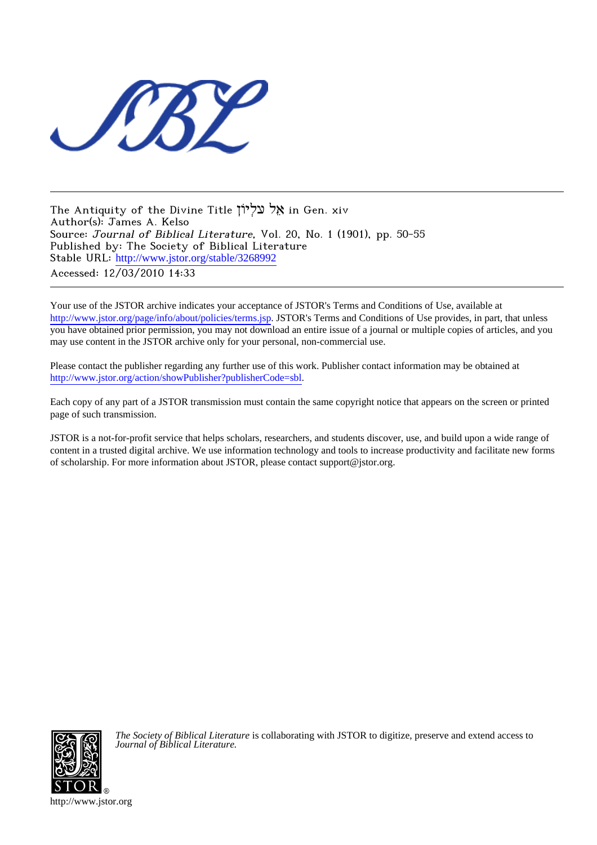

The Antiquity of the Divine Title יוֹןְעל לֵא in Gen. xiv Author(s): James A. Kelso Source: Journal of Biblical Literature, Vol. 20, No. 1 (1901), pp. 50-55 Published by: The Society of Biblical Literature Stable URL: [http://www.jstor.org/stable/3268992](http://www.jstor.org/stable/3268992?origin=JSTOR-pdf) Accessed: 12/03/2010 14:33

Your use of the JSTOR archive indicates your acceptance of JSTOR's Terms and Conditions of Use, available at <http://www.jstor.org/page/info/about/policies/terms.jsp>. JSTOR's Terms and Conditions of Use provides, in part, that unless you have obtained prior permission, you may not download an entire issue of a journal or multiple copies of articles, and you may use content in the JSTOR archive only for your personal, non-commercial use.

Please contact the publisher regarding any further use of this work. Publisher contact information may be obtained at [http://www.jstor.org/action/showPublisher?publisherCode=sbl.](http://www.jstor.org/action/showPublisher?publisherCode=sbl)

Each copy of any part of a JSTOR transmission must contain the same copyright notice that appears on the screen or printed page of such transmission.

JSTOR is a not-for-profit service that helps scholars, researchers, and students discover, use, and build upon a wide range of content in a trusted digital archive. We use information technology and tools to increase productivity and facilitate new forms of scholarship. For more information about JSTOR, please contact support@jstor.org.



*The Society of Biblical Literature* is collaborating with JSTOR to digitize, preserve and extend access to *Journal of Biblical Literature.*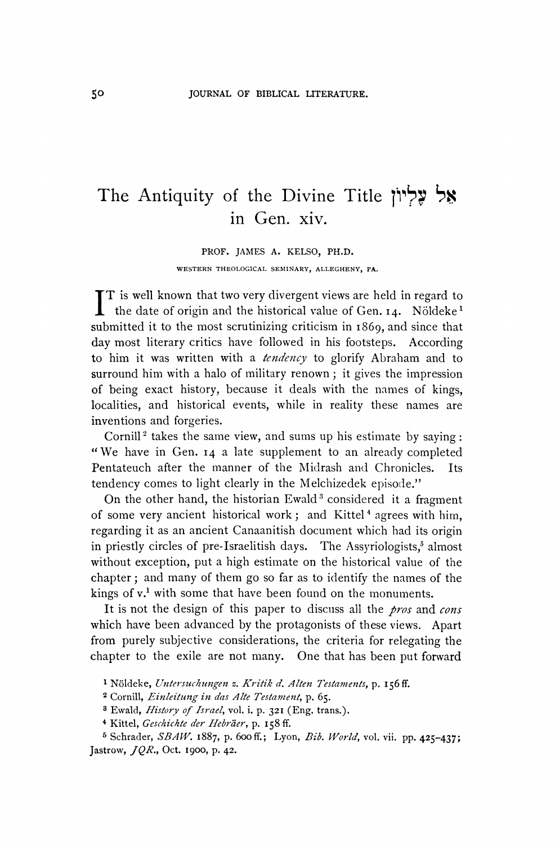## **The Antiquity of the Divine Title lih' ? ~ in Gen. xiv.**

**PROF. JAMES A. KELSO, PH.D. WESTERN THEOLOGICAL SEMINARY, ALLEGHENY, PA.** 

**T is well known that two very divergent views are held in regard to t** the date of origin and the historical value of Gen. 14. Nöldeke<sup>1</sup> **submitted it to the most scrutinizing criticism in I869, and since that day most literary critics have followed in his footsteps. According to him it was written with a tendency to glorify Abraham and to surround him with a halo of military renown; it gives the impression of being exact history, because it deals with the names of kings, localities, and historical events, while in reality these names are inventions and forgeries.** 

Cornill<sup>2</sup> takes the same view, and sums up his estimate by saying: **"We have in Gen. 14 a late supplement to an already completed Pentateuch after the manner of the Midrash and Chronicles. Its tendency comes to light clearly in the Melchizedek episode."** 

On the other hand, the historian Ewald<sup>3</sup> considered it a fragment of some very ancient historical work; and Kittel<sup>4</sup> agrees with him. **regarding it as an ancient Canaanitish document which had its origin**  in priestly circles of pre-Israelitish days. The Assyriologists,<sup>5</sup> almost **without exception, put a high estimate on the historical value of the chapter; and many of them go so far as to identify the names of the kings of v.' with some that have been found on the monuments.** 

**It is not the design of this paper to discuss all the pros and cons which have been advanced by the protagonists of these views. Apart from purely subjective considerations, the criteria for relegating the chapter to the exile are not many. One that has been put forward** 

<sup>&</sup>lt;sup>1</sup> Nöldeke, Untersuchungen z. Kritik d. Alten Testaments, p. 156 ff.

**<sup>2</sup>Cornill, Einleitung in das Alte Testament, p. 65.** 

**<sup>8</sup> Ewald, History of Israel, vol. i. p. 321 (Eng. trans.).** 

<sup>&</sup>lt;sup>4</sup> Kittel, Geschichte der Hebräer, p. 158 ff.

**<sup>5</sup>Schrader, SBAW. I887, p. 6ooff.; Lyon, Bib. World, vol. vii. pp. 425-437; Jastrow, JQR., Oct. 1900, p. 42.**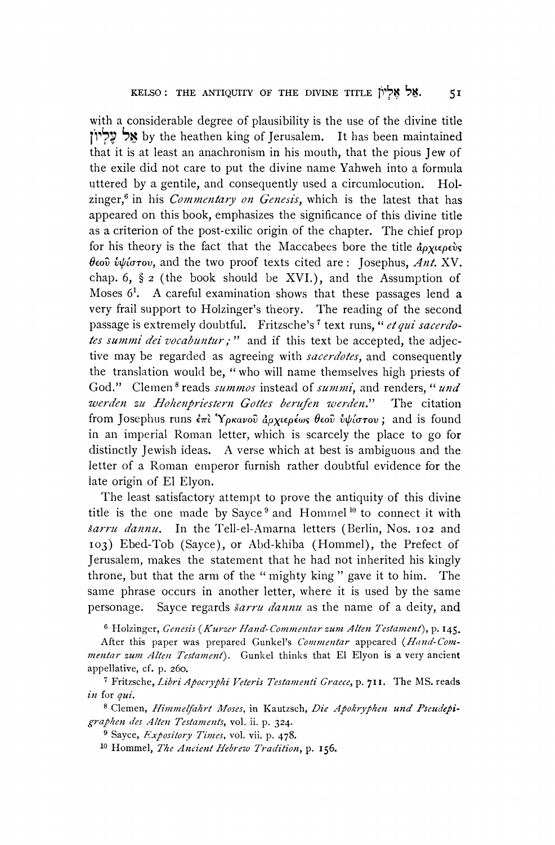**with a considerable degree of plausibility is the use of the divine title 11P .K by the heathen king of Jerusalem. It has been maintained that it is at least an anachronism in his mouth, that the pious Jew of the exile did not care to put the divine name Yahweh into a formula uttered by a gentile, and consequently used a circumlocution. Holzinger,6 in his Commentary on Genesis, which is the latest that has appeared on this book, emphasizes the significance of this divine title as a criterion of the post-exilic origin of the chapter. The chief prop**  for his theory is the fact that the Maccabees bore the title  $\phi_{\alpha}$   $\phi_{\alpha}$  $\theta$ *εού 
iv/ίστου*, and the two proof texts cited are: Josephus, Ant. XV. **chap. 6, ? 2 (the book should be XVI.), and the Assumption of Moses 61. A careful examination shows that these passages lend a very frail support to Holzinger's theory. The reading of the second**  passage is extremely doubtful. Fritzsche's<sup>7</sup> text runs, "et qui sacerdo**tes summi dei vocabuntur; " and if this text be accepted, the adjective may be regarded as agreeing with sacerdotes, and consequently the translation would be, "who will name themselves high priests of**  God." Clemen<sup>8</sup> reads *summos* instead of *summi*, and renders, "*und* werden zu Hohenpriestern Gottes berufen werden." The citation **from Josephus runs επί Υρκανοῦ ἀρχιερέως θεοῦ ὑψίστου; and is found in an imperial Roman letter, which is scarcely the place to go for distinctly Jewish ideas. A verse which at best is ambiguous and the**  letter of a Roman emperor furnish rather doubtful evidence for the **late origin of El Elyon.** 

**The least satisfactory attempt to prove the antiquity of this divine title is the one made by Sayce9 and Homrnel10 to connect it with sarru dannu. In the Tell-el-Amarna letters (Berlin, Nos. 102 and 103) Ebed-Tob (Sayce), or Abd-khiba (Hommel), the Prefect of Jerusalem, makes the statement that he had not inherited his kingly throne, but that the arm of the " mighty king " gave it to him. The same phrase occurs in another letter, where it is used by the same personage. Sayce regards sarru dannu as the name of a deity, and** 

<sup>6</sup> Holzinger, Genesis (Kurzer Hand-Commentar zum Alten Testament), p. 145.

After this paper was prepared Gunkel's *Commentar* appeared (*Hand-Com***mentar zum Allen Testament). Gunkel thinks that El Elyon is a very ancient appellative, cf. p. 260.** 

**7 Fritzsche, Libri Apocryphi Veteris Testamenti Graece, p. 711. The MS. reads in for qui.** 

**8 Clemen, Himmelfahrt Moses, in Kautzsch, Die Apokryphen und Pseudepigraphen des Al/ten Testaments, vol. ii. p. 324.** 

**9 Sayce, Expository Times, vol. vii. p. 478.** 

**10 Hommel, The Ancient Hebrew Tradition, p. I56.**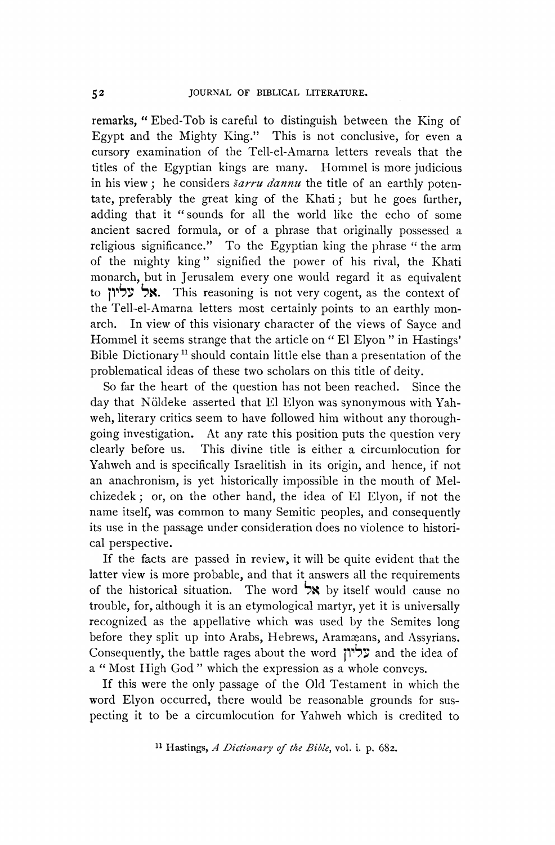**remarks, " Ebed-Tob is careful to distinguish between the King of Egypt and the Mighty King." This is not conclusive, for even a cursory examination of the Tell-el-Amarna letters reveals that the titles of the Egyptian kings are many. Hommel is more judicious**  in his view; he considers *šarru dannu* the title of an earthly poten**tate, preferably the great king of the Khati; but he goes further, adding that it "sounds for all the world like the echo of some ancient sacred formula, or of a phrase that originally possessed a religious significance." To the Egyptian king the phrase " the arm of the mighty king" signified the power of his rival, the Khati monarch, but in Jerusalem every one would regard it as equivalent to 11"5: XK. This reasoning is not very cogent, as the context of the Tell-el-Amarna letters most certainly points to an earthly monarch. In view of this visionary character of the views of Sayce and Hommel it seems strange that the article on " El Elyon " in Hastings' Bible Dictionary 1 should contain little else than a presentation of the problematical ideas of these two scholars on this title of deity.** 

**So far the heart of the question has not been reached. Since the**  day that Nöldeke asserted that El Elyon was synonymous with Yah**weh, literary critics seem to have followed him without any thoroughgoing investigation. At any rate this position puts the question very clearly before us. This divine title is either a circumlocution for Yahweh and is specifically Israelitish in its origin, and hence, if not an anachronism, is yet historically impossible in the mouth of Melchizedek; or, on the other hand, the idea of El Elyon, if not the name itself, was common to many Semitic peoples, and consequently its use in the passage under consideration does no violence to historical perspective.** 

**If the facts are passed in review, it will be quite evident that the latter view is more probable, and that it answers all the requirements**  of the historical situation. The word **X** by itself would cause no **trouble, for, although it is an etymological martyr, yet it is universally recognized as the appellative which was used by the Semites long**  before they split up into Arabs, Hebrews, Aramæans, and Assyrians. **Consequently, the battle rages about the word 1 n37 and the idea of a " Most Iigh God " which the expression as a whole conveys.** 

**If this were the only passage of the Old Testament in which the word Elyon occurred, there would be reasonable grounds for suspecting it to be a circumlocution for Yahweh which is credited to**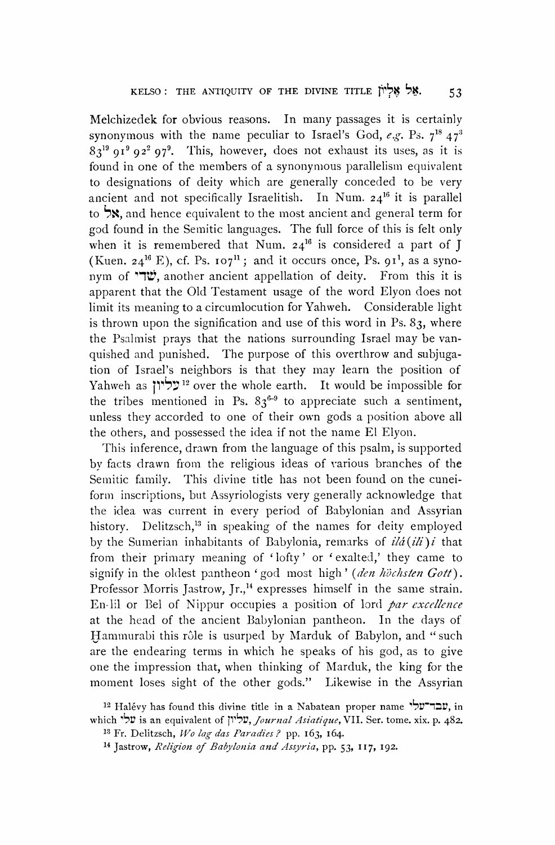**Melchizedek for obvious reasons. In many passages it is certainly**  synonymous with the name peculiar to Israel's God,  $e.g.$  Ps.  $7^{18}$   $47^3$ **<sup>8319</sup>9I9 922 979. This, however, does not exhaust its uses, as it is found in one of the members of a synonynmous parallelism equivalent to designations of deity which are generally conceded to be very ancient and not specifically Israelitish. In Num. 2416 it is parallel**  to **X**, and hence equivalent to the most ancient and general term for **god found in the Semitic languages. The full force of this is felt only**  when it is remembered that Num.  $24^{16}$  is considered a part of  $\bar{J}$ (Kuen.  $24^{16}$  E), cf. Ps.  $107^{11}$ ; and it occurs once, Ps.  $91^1$ , as a syno**nym of 'T", another ancient appellation of deity. From this it is apparent that the Old Testament usage of the word Elyon does not limit its meaning to a circumlocution for Yahweh. Considerable light is thrown upon the signification and use of this word in Ps. 83, where the Psalmist prays that the nations surrounding Israel may be vanquished and punished. The purpose of this overthrow and subjugation of Israel's neighbors is that they may learn the position of Yahweh as 113' <sup>12</sup>over the whole earth. It would be impossible for**  the tribes mentioned in Ps.  $83^{6-9}$  to appreciate such a sentiment, **unless they accorded to one of their own gods a position above all the others, and possessed the idea if not the name El Elyon.** 

**This inference, drawn from the language of this psalm, is supported by facts drawn fiom the religious ideas of various branches of the Semitic family. This divine title has not been found on the cuneiform inscriptions, but Assyriologists very generally acknowledge that the idea was current in every period of Babylonian and Assyrian history. Delitzsch,'3 in speaking of the names for deity employed**  by the Sumerian inhabitants of Babylonia, remarks of *ild*(*ili*)*i* that **from their primary meaning of 'lofty' or 'exalted,' they came to**  signify in the oldest pantheon 'god most high' (den höchsten Gott). Professor Morris Jastrow, Jr.,<sup>14</sup> expresses himself in the same strain. **En-lil or Bel of Nippur occupies a position of lord par excellence at the head of the ancient Babylonian pantheon. In the days of Hammurabi this role is usurped by Marduk of Babylon, and " such are the endearing terms in which he speaks of his god, as to give one the impression that, when thinking of Marduk, the king for the moment loses sight of the other gods." Likewise in the Assyrian** 

**53** 

**<sup>12</sup>Halevy has found this divine title in a Nabatean proper name "y'?7, in**  which 'עליון is an equivalent of **עליון,** Journal Asiatique, VII. Ser. tome. xix. p. 482.

**<sup>13</sup> Fr. Delitzsch, Wo lag das Paradies ? pp. I63, 164.** 

**<sup>14</sup> Jastrow, Religion of Babylonia and Assyria, pp. 53, I117, 192.**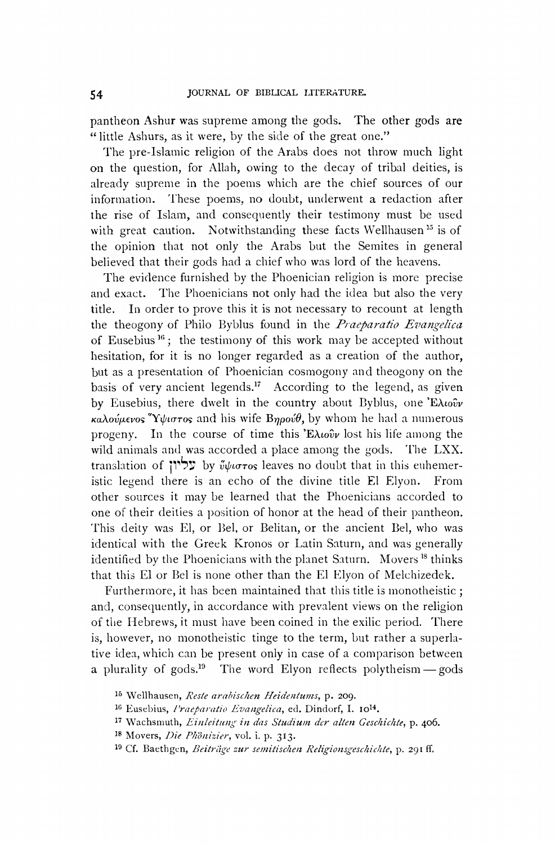**pantheon Ashur was supreme among the gods. The other gods are "little Ashurs, as it were, by the side of the great one."** 

**The pre-Islamic religion of the Arabs does not throw much light on the question, for Allah, owing to the decay of tribal deities, is already supreme in the poems which are the chief sources of our information. 'lhese poems, no doubt, underwent a redaction after the rise of Islam, and consequently their testimony must be used**  with great caution. Notwithstanding these facts Wellhausen<sup>15</sup> is of **the opinion that not only the Arabs but the Semites in general believed that their gods had a chief who was lord of the heavens.** 

**The evidence furnished by the Phoenician religion is more precise and exact. The Phoenicians not only had the idea but also the very title. In order to prove this it is not necessary to recount at length**  the theogony of Philo Byblus found in the *Praeparatio Evangelica* of Eusebius<sup>16</sup>; the testimony of this work may be accepted without **hesitation, for it is no longer regarded as a creation of the author, but as a presentation of Phoenician cosmogony and theogony on the basis of very ancient legends.l7 According to the legend, as given**  by Eusebius, there dwelt in the country about Byblus, one Extoov **καλούμενος γίμιστος** and his wife **Βηρούθ**, by whom he had a numerous **progeny.** In the course of time this  $\mathbf{E}\lambda\omega\hat{\omega}\psi$  lost his life among the **wild animals and was accorded a place among the gods. The LXX.**  translation of  $\mathbf{V}$   $\mathbf{V}$  **by**  $\mathbf{v}$  **ν**  $\mathbf{v}$  **leaves** no doubt that in this euhemer**istic legend there is an echo of the divine title El Elyon. From other sources it may be learned that the Phoenicians accorded to one of their deities a position of honor at the head of their pantheon. 'This deity was El, or Bel, or Belitan, or the ancient Bel, who was identical with the Greek Kronos or Latin Saturn, and was generally identified by the Phoenicians with the planet Saturn. Movers 18 thinks that this El or Bel is none other than the El Elyon of Melchizedek.** 

**Furthermore, it has been maintained that this title is monotheistic; and, consequently, in accordance with prevalent views on the religion of tile Hebrews, it must have been coined in the exilic period. There is, however, no monotheistic tinge to the term, but rather a superlative idea, which can be present only in case of a comparison between a** plurality of gods.<sup>19</sup> The word Elyon reflects polytheism – gods

19 Cf. Baethgen, Beiträge zur semitischen Religionsgeschichte, p. 291 ff.

**<sup>15</sup> Wellhausen, Resle arabischen Heidentums, p. 209.** 

<sup>&</sup>lt;sup>16</sup> Eusebius, Praeparatio Evangelica, ed. Dindorf, I. 10<sup>14</sup>.

<sup>&</sup>lt;sup>17</sup> Wachsmuth, *Einleitung in das Studium der alten Geschichte*, p. 406.

<sup>18</sup> Movers, *Die Phönizier*, vol. i. p. 313.